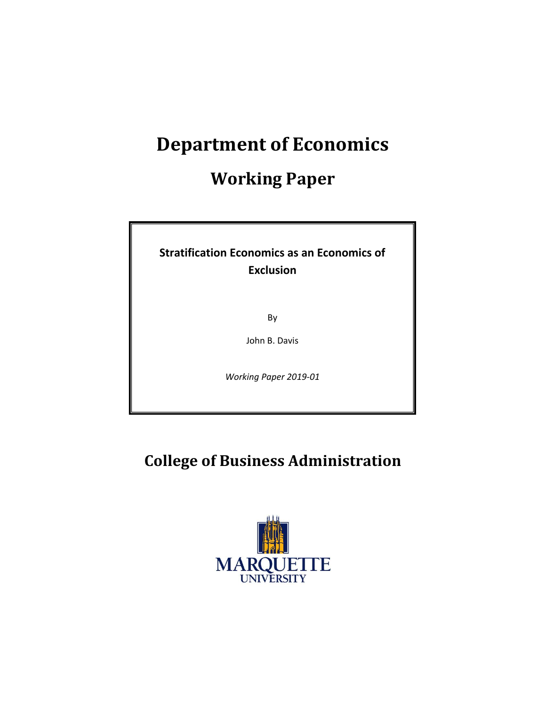# **Department of Economics**

## **Working Paper**

### **Stratification Economics as an Economics of Exclusion**

By

John B. Davis

*Working Paper 2019-01*

### **College of Business Administration**

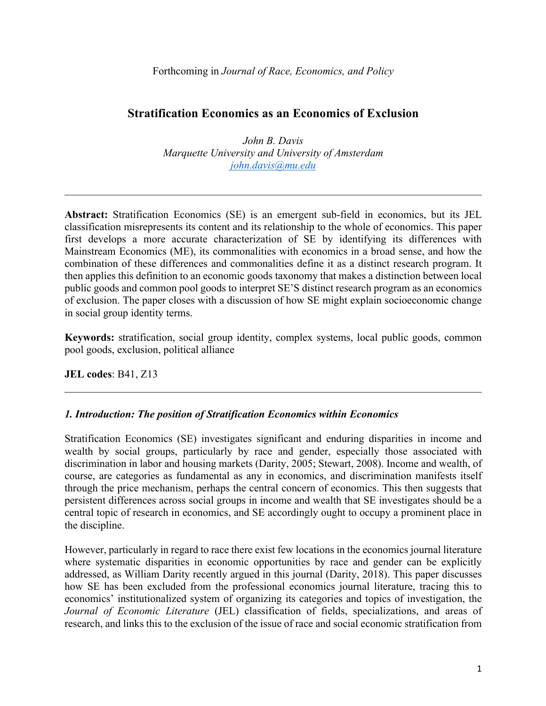#### **Stratification Economics as an Economics of Exclusion**

*John B. Davis Marquette University and University of Amsterdam john.davis@mu.edu*

**Abstract:** Stratification Economics (SE) is an emergent sub-field in economics, but its JEL classification misrepresents its content and its relationship to the whole of economics. This paper first develops a more accurate characterization of SE by identifying its differences with Mainstream Economics (ME), its commonalities with economics in a broad sense, and how the combination of these differences and commonalities define it as a distinct research program. It then applies this definition to an economic goods taxonomy that makes a distinction between local public goods and common pool goods to interpret SE'S distinct research program as an economics of exclusion. The paper closes with a discussion of how SE might explain socioeconomic change in social group identity terms.

**Keywords:** stratification, social group identity, complex systems, local public goods, common pool goods, exclusion, political alliance

**JEL codes**: B41, Z13

#### *1. Introduction: The position of Stratification Economics within Economics*

Stratification Economics (SE) investigates significant and enduring disparities in income and wealth by social groups, particularly by race and gender, especially those associated with discrimination in labor and housing markets (Darity, 2005; Stewart, 2008). Income and wealth, of course, are categories as fundamental as any in economics, and discrimination manifests itself through the price mechanism, perhaps the central concern of economics. This then suggests that persistent differences across social groups in income and wealth that SE investigates should be a central topic of research in economics, and SE accordingly ought to occupy a prominent place in the discipline.

However, particularly in regard to race there exist few locations in the economics journal literature where systematic disparities in economic opportunities by race and gender can be explicitly addressed, as William Darity recently argued in this journal (Darity, 2018). This paper discusses how SE has been excluded from the professional economics journal literature, tracing this to economics' institutionalized system of organizing its categories and topics of investigation, the *Journal of Economic Literature* (JEL) classification of fields, specializations, and areas of research, and links this to the exclusion of the issue of race and social economic stratification from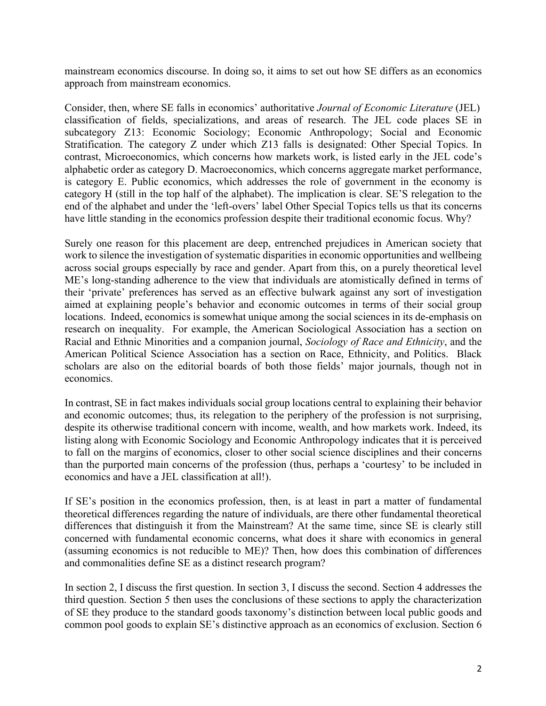mainstream economics discourse. In doing so, it aims to set out how SE differs as an economics approach from mainstream economics.

Consider, then, where SE falls in economics' authoritative *Journal of Economic Literature* (JEL) classification of fields, specializations, and areas of research. The JEL code places SE in subcategory Z13: Economic Sociology; Economic Anthropology; Social and Economic Stratification. The category Z under which Z13 falls is designated: Other Special Topics. In contrast, Microeconomics, which concerns how markets work, is listed early in the JEL code's alphabetic order as category D. Macroeconomics, which concerns aggregate market performance, is category E. Public economics, which addresses the role of government in the economy is category H (still in the top half of the alphabet). The implication is clear. SE'S relegation to the end of the alphabet and under the 'left-overs' label Other Special Topics tells us that its concerns have little standing in the economics profession despite their traditional economic focus. Why?

Surely one reason for this placement are deep, entrenched prejudices in American society that work to silence the investigation of systematic disparities in economic opportunities and wellbeing across social groups especially by race and gender. Apart from this, on a purely theoretical level ME's long-standing adherence to the view that individuals are atomistically defined in terms of their 'private' preferences has served as an effective bulwark against any sort of investigation aimed at explaining people's behavior and economic outcomes in terms of their social group locations. Indeed, economics is somewhat unique among the social sciences in its de-emphasis on research on inequality. For example, the American Sociological Association has a section on Racial and Ethnic Minorities and a companion journal, *Sociology of Race and Ethnicity*, and the American Political Science Association has a section on Race, Ethnicity, and Politics. Black scholars are also on the editorial boards of both those fields' major journals, though not in economics.

In contrast, SE in fact makes individuals social group locations central to explaining their behavior and economic outcomes; thus, its relegation to the periphery of the profession is not surprising, despite its otherwise traditional concern with income, wealth, and how markets work. Indeed, its listing along with Economic Sociology and Economic Anthropology indicates that it is perceived to fall on the margins of economics, closer to other social science disciplines and their concerns than the purported main concerns of the profession (thus, perhaps a 'courtesy' to be included in economics and have a JEL classification at all!).

If SE's position in the economics profession, then, is at least in part a matter of fundamental theoretical differences regarding the nature of individuals, are there other fundamental theoretical differences that distinguish it from the Mainstream? At the same time, since SE is clearly still concerned with fundamental economic concerns, what does it share with economics in general (assuming economics is not reducible to ME)? Then, how does this combination of differences and commonalities define SE as a distinct research program?

In section 2, I discuss the first question. In section 3, I discuss the second. Section 4 addresses the third question. Section 5 then uses the conclusions of these sections to apply the characterization of SE they produce to the standard goods taxonomy's distinction between local public goods and common pool goods to explain SE's distinctive approach as an economics of exclusion. Section 6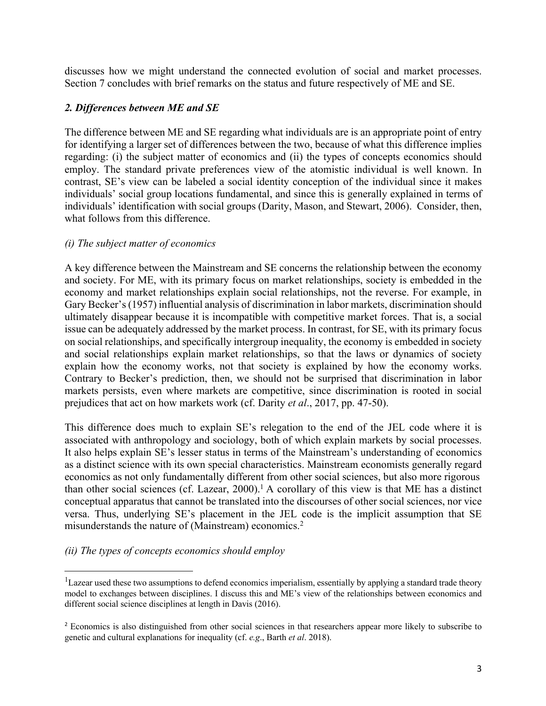discusses how we might understand the connected evolution of social and market processes. Section 7 concludes with brief remarks on the status and future respectively of ME and SE.

#### *2. Differences between ME and SE*

The difference between ME and SE regarding what individuals are is an appropriate point of entry for identifying a larger set of differences between the two, because of what this difference implies regarding: (i) the subject matter of economics and (ii) the types of concepts economics should employ. The standard private preferences view of the atomistic individual is well known. In contrast, SE's view can be labeled a social identity conception of the individual since it makes individuals' social group locations fundamental, and since this is generally explained in terms of individuals' identification with social groups (Darity, Mason, and Stewart, 2006). Consider, then, what follows from this difference.

#### *(i) The subject matter of economics*

A key difference between the Mainstream and SE concerns the relationship between the economy and society. For ME, with its primary focus on market relationships, society is embedded in the economy and market relationships explain social relationships, not the reverse. For example, in Gary Becker's (1957) influential analysis of discrimination in labor markets, discrimination should ultimately disappear because it is incompatible with competitive market forces. That is, a social issue can be adequately addressed by the market process. In contrast, for SE, with its primary focus on social relationships, and specifically intergroup inequality, the economy is embedded in society and social relationships explain market relationships, so that the laws or dynamics of society explain how the economy works, not that society is explained by how the economy works. Contrary to Becker's prediction, then, we should not be surprised that discrimination in labor markets persists, even where markets are competitive, since discrimination is rooted in social prejudices that act on how markets work (cf. Darity *et al*., 2017, pp. 47-50).

This difference does much to explain SE's relegation to the end of the JEL code where it is associated with anthropology and sociology, both of which explain markets by social processes. It also helps explain SE's lesser status in terms of the Mainstream's understanding of economics as a distinct science with its own special characteristics. Mainstream economists generally regard economics as not only fundamentally different from other social sciences, but also more rigorous than other social sciences (cf. Lazear, 2000).<sup>1</sup> A corollary of this view is that ME has a distinct conceptual apparatus that cannot be translated into the discourses of other social sciences, nor vice versa. Thus, underlying SE's placement in the JEL code is the implicit assumption that SE misunderstands the nature of (Mainstream) economics.<sup>2</sup>

#### *(ii) The types of concepts economics should employ*

 $\overline{\phantom{a}}$ 

<sup>&</sup>lt;sup>1</sup>Lazear used these two assumptions to defend economics imperialism, essentially by applying a standard trade theory model to exchanges between disciplines. I discuss this and ME's view of the relationships between economics and different social science disciplines at length in Davis (2016).

<sup>2</sup> Economics is also distinguished from other social sciences in that researchers appear more likely to subscribe to genetic and cultural explanations for inequality (cf. *e.g*., Barth *et al*. 2018).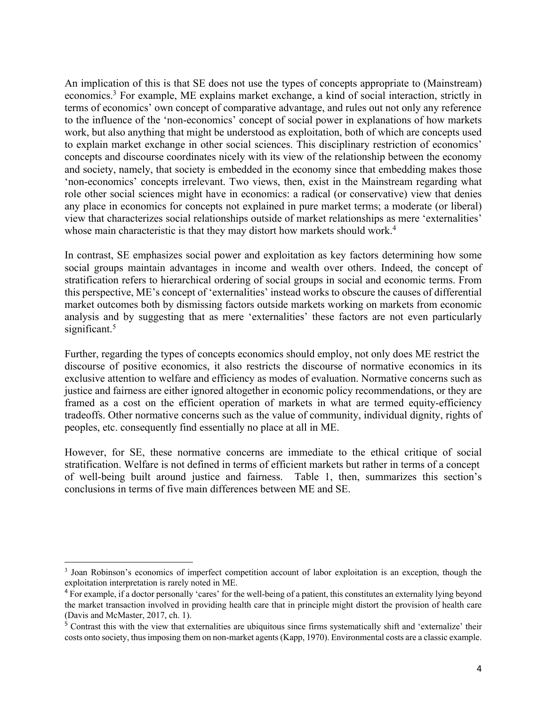An implication of this is that SE does not use the types of concepts appropriate to (Mainstream) economics.3 For example, ME explains market exchange, a kind of social interaction, strictly in terms of economics' own concept of comparative advantage, and rules out not only any reference to the influence of the 'non-economics' concept of social power in explanations of how markets work, but also anything that might be understood as exploitation, both of which are concepts used to explain market exchange in other social sciences. This disciplinary restriction of economics' concepts and discourse coordinates nicely with its view of the relationship between the economy and society, namely, that society is embedded in the economy since that embedding makes those 'non-economics' concepts irrelevant. Two views, then, exist in the Mainstream regarding what role other social sciences might have in economics: a radical (or conservative) view that denies any place in economics for concepts not explained in pure market terms; a moderate (or liberal) view that characterizes social relationships outside of market relationships as mere 'externalities' whose main characteristic is that they may distort how markets should work.<sup>4</sup>

In contrast, SE emphasizes social power and exploitation as key factors determining how some social groups maintain advantages in income and wealth over others. Indeed, the concept of stratification refers to hierarchical ordering of social groups in social and economic terms. From this perspective, ME's concept of 'externalities' instead works to obscure the causes of differential market outcomes both by dismissing factors outside markets working on markets from economic analysis and by suggesting that as mere 'externalities' these factors are not even particularly significant.<sup>5</sup>

Further, regarding the types of concepts economics should employ, not only does ME restrict the discourse of positive economics, it also restricts the discourse of normative economics in its exclusive attention to welfare and efficiency as modes of evaluation. Normative concerns such as justice and fairness are either ignored altogether in economic policy recommendations, or they are framed as a cost on the efficient operation of markets in what are termed equity-efficiency tradeoffs. Other normative concerns such as the value of community, individual dignity, rights of peoples, etc. consequently find essentially no place at all in ME.

However, for SE, these normative concerns are immediate to the ethical critique of social stratification. Welfare is not defined in terms of efficient markets but rather in terms of a concept of well-being built around justice and fairness. Table 1, then, summarizes this section's conclusions in terms of five main differences between ME and SE.

l <sup>3</sup> Joan Robinson's economics of imperfect competition account of labor exploitation is an exception, though the exploitation interpretation is rarely noted in ME.

<sup>&</sup>lt;sup>4</sup> For example, if a doctor personally 'cares' for the well-being of a patient, this constitutes an externality lying beyond the market transaction involved in providing health care that in principle might distort the provision of health care (Davis and McMaster, 2017, ch. 1).

<sup>&</sup>lt;sup>5</sup> Contrast this with the view that externalities are ubiquitous since firms systematically shift and 'externalize' their costs onto society, thus imposing them on non-market agents (Kapp, 1970). Environmental costs are a classic example.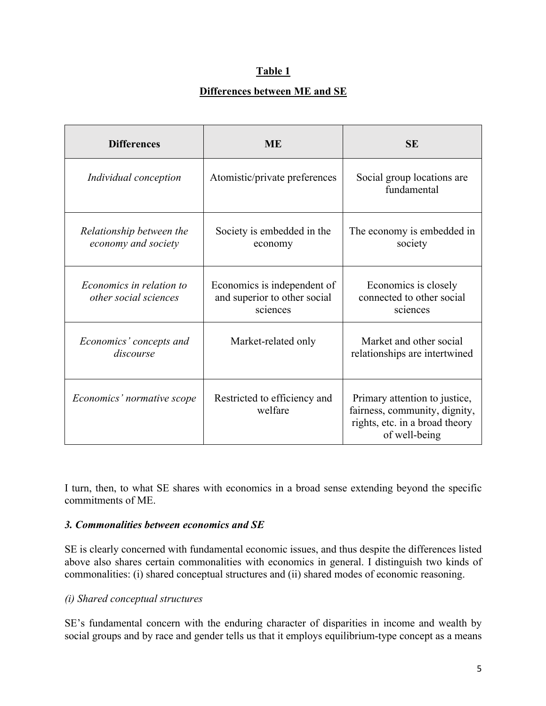#### **Table 1**

#### **Differences between ME and SE**

| <b>Differences</b>                                | <b>ME</b>                                                               | <b>SE</b>                                                                                                         |
|---------------------------------------------------|-------------------------------------------------------------------------|-------------------------------------------------------------------------------------------------------------------|
| Individual conception                             | Atomistic/private preferences                                           | Social group locations are<br>fundamental                                                                         |
| Relationship between the<br>economy and society   | Society is embedded in the<br>economy                                   | The economy is embedded in<br>society                                                                             |
| Economics in relation to<br>other social sciences | Economics is independent of<br>and superior to other social<br>sciences | Economics is closely<br>connected to other social<br>sciences                                                     |
| Economics' concepts and<br>discourse              | Market-related only                                                     | Market and other social<br>relationships are intertwined                                                          |
| Economics' normative scope                        | Restricted to efficiency and<br>welfare                                 | Primary attention to justice,<br>fairness, community, dignity,<br>rights, etc. in a broad theory<br>of well-being |

I turn, then, to what SE shares with economics in a broad sense extending beyond the specific commitments of ME.

#### *3. Commonalities between economics and SE*

SE is clearly concerned with fundamental economic issues, and thus despite the differences listed above also shares certain commonalities with economics in general. I distinguish two kinds of commonalities: (i) shared conceptual structures and (ii) shared modes of economic reasoning.

#### *(i) Shared conceptual structures*

SE's fundamental concern with the enduring character of disparities in income and wealth by social groups and by race and gender tells us that it employs equilibrium-type concept as a means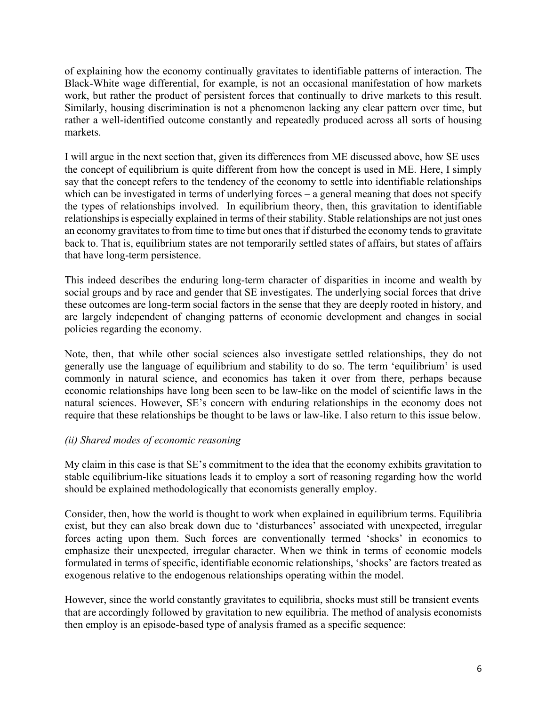of explaining how the economy continually gravitates to identifiable patterns of interaction. The Black-White wage differential, for example, is not an occasional manifestation of how markets work, but rather the product of persistent forces that continually to drive markets to this result. Similarly, housing discrimination is not a phenomenon lacking any clear pattern over time, but rather a well-identified outcome constantly and repeatedly produced across all sorts of housing markets.

I will argue in the next section that, given its differences from ME discussed above, how SE uses the concept of equilibrium is quite different from how the concept is used in ME. Here, I simply say that the concept refers to the tendency of the economy to settle into identifiable relationships which can be investigated in terms of underlying forces – a general meaning that does not specify the types of relationships involved. In equilibrium theory, then, this gravitation to identifiable relationships is especially explained in terms of their stability. Stable relationships are not just ones an economy gravitates to from time to time but ones that if disturbed the economy tends to gravitate back to. That is, equilibrium states are not temporarily settled states of affairs, but states of affairs that have long-term persistence.

This indeed describes the enduring long-term character of disparities in income and wealth by social groups and by race and gender that SE investigates. The underlying social forces that drive these outcomes are long-term social factors in the sense that they are deeply rooted in history, and are largely independent of changing patterns of economic development and changes in social policies regarding the economy.

Note, then, that while other social sciences also investigate settled relationships, they do not generally use the language of equilibrium and stability to do so. The term 'equilibrium' is used commonly in natural science, and economics has taken it over from there, perhaps because economic relationships have long been seen to be law-like on the model of scientific laws in the natural sciences. However, SE's concern with enduring relationships in the economy does not require that these relationships be thought to be laws or law-like. I also return to this issue below.

#### *(ii) Shared modes of economic reasoning*

My claim in this case is that SE's commitment to the idea that the economy exhibits gravitation to stable equilibrium-like situations leads it to employ a sort of reasoning regarding how the world should be explained methodologically that economists generally employ.

Consider, then, how the world is thought to work when explained in equilibrium terms. Equilibria exist, but they can also break down due to 'disturbances' associated with unexpected, irregular forces acting upon them. Such forces are conventionally termed 'shocks' in economics to emphasize their unexpected, irregular character. When we think in terms of economic models formulated in terms of specific, identifiable economic relationships, 'shocks' are factors treated as exogenous relative to the endogenous relationships operating within the model.

However, since the world constantly gravitates to equilibria, shocks must still be transient events that are accordingly followed by gravitation to new equilibria. The method of analysis economists then employ is an episode-based type of analysis framed as a specific sequence: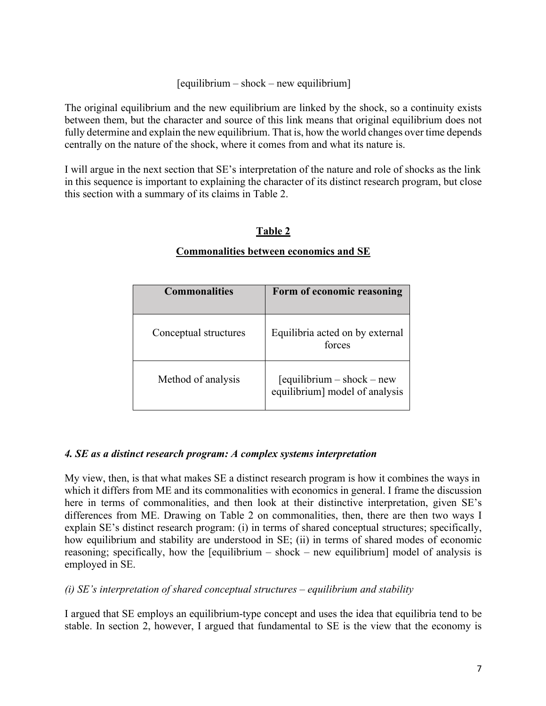#### [equilibrium – shock – new equilibrium]

The original equilibrium and the new equilibrium are linked by the shock, so a continuity exists between them, but the character and source of this link means that original equilibrium does not fully determine and explain the new equilibrium. That is, how the world changes over time depends centrally on the nature of the shock, where it comes from and what its nature is.

I will argue in the next section that SE's interpretation of the nature and role of shocks as the link in this sequence is important to explaining the character of its distinct research program, but close this section with a summary of its claims in Table 2.

#### **Table 2**

#### **Commonalities between economics and SE**

| <b>Commonalities</b>  | Form of economic reasoning                                      |
|-----------------------|-----------------------------------------------------------------|
| Conceptual structures | Equilibria acted on by external<br>forces                       |
| Method of analysis    | $[equilibrium - shock - new]$<br>equilibrium] model of analysis |

#### *4. SE as a distinct research program: A complex systems interpretation*

My view, then, is that what makes SE a distinct research program is how it combines the ways in which it differs from ME and its commonalities with economics in general. I frame the discussion here in terms of commonalities, and then look at their distinctive interpretation, given SE's differences from ME. Drawing on Table 2 on commonalities, then, there are then two ways I explain SE's distinct research program: (i) in terms of shared conceptual structures; specifically, how equilibrium and stability are understood in SE; (ii) in terms of shared modes of economic reasoning; specifically, how the [equilibrium – shock – new equilibrium] model of analysis is employed in SE.

#### *(i) SE's interpretation of shared conceptual structures – equilibrium and stability*

I argued that SE employs an equilibrium-type concept and uses the idea that equilibria tend to be stable. In section 2, however, I argued that fundamental to SE is the view that the economy is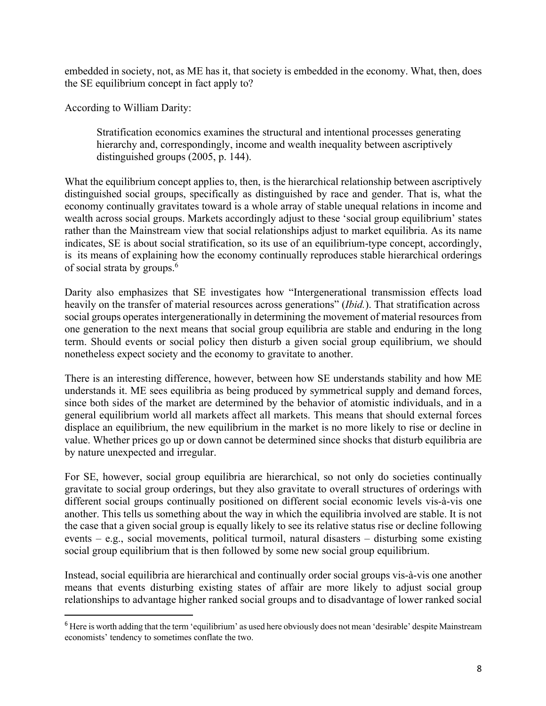embedded in society, not, as ME has it, that society is embedded in the economy. What, then, does the SE equilibrium concept in fact apply to?

According to William Darity:

Stratification economics examines the structural and intentional processes generating hierarchy and, correspondingly, income and wealth inequality between ascriptively distinguished groups (2005, p. 144).

What the equilibrium concept applies to, then, is the hierarchical relationship between ascriptively distinguished social groups, specifically as distinguished by race and gender. That is, what the economy continually gravitates toward is a whole array of stable unequal relations in income and wealth across social groups. Markets accordingly adjust to these 'social group equilibrium' states rather than the Mainstream view that social relationships adjust to market equilibria. As its name indicates, SE is about social stratification, so its use of an equilibrium-type concept, accordingly, is its means of explaining how the economy continually reproduces stable hierarchical orderings of social strata by groups.6

Darity also emphasizes that SE investigates how "Intergenerational transmission effects load heavily on the transfer of material resources across generations" (*Ibid.*). That stratification across social groups operates intergenerationally in determining the movement of material resources from one generation to the next means that social group equilibria are stable and enduring in the long term. Should events or social policy then disturb a given social group equilibrium, we should nonetheless expect society and the economy to gravitate to another.

There is an interesting difference, however, between how SE understands stability and how ME understands it. ME sees equilibria as being produced by symmetrical supply and demand forces, since both sides of the market are determined by the behavior of atomistic individuals, and in a general equilibrium world all markets affect all markets. This means that should external forces displace an equilibrium, the new equilibrium in the market is no more likely to rise or decline in value. Whether prices go up or down cannot be determined since shocks that disturb equilibria are by nature unexpected and irregular.

For SE, however, social group equilibria are hierarchical, so not only do societies continually gravitate to social group orderings, but they also gravitate to overall structures of orderings with different social groups continually positioned on different social economic levels vis-à-vis one another. This tells us something about the way in which the equilibria involved are stable. It is not the case that a given social group is equally likely to see its relative status rise or decline following events – e.g., social movements, political turmoil, natural disasters – disturbing some existing social group equilibrium that is then followed by some new social group equilibrium.

Instead, social equilibria are hierarchical and continually order social groups vis-à-vis one another means that events disturbing existing states of affair are more likely to adjust social group relationships to advantage higher ranked social groups and to disadvantage of lower ranked social

<sup>&</sup>lt;sup>6</sup> Here is worth adding that the term 'equilibrium' as used here obviously does not mean 'desirable' despite Mainstream economists' tendency to sometimes conflate the two.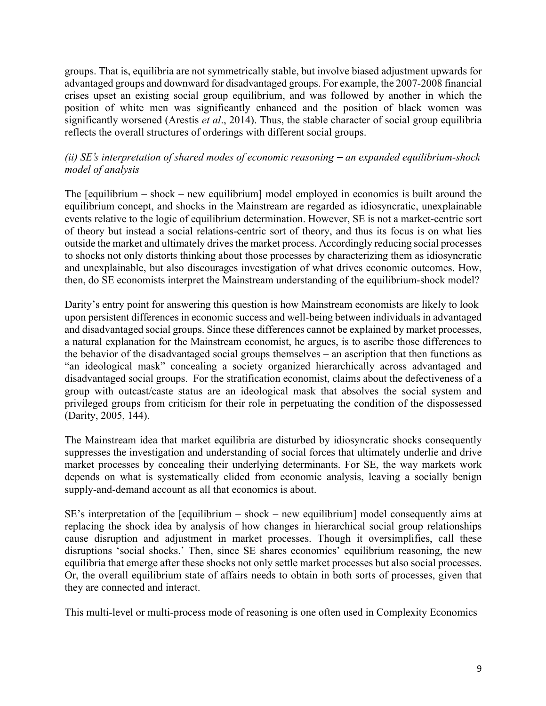groups. That is, equilibria are not symmetrically stable, but involve biased adjustment upwards for advantaged groups and downward for disadvantaged groups. For example, the 2007-2008 financial crises upset an existing social group equilibrium, and was followed by another in which the position of white men was significantly enhanced and the position of black women was significantly worsened (Arestis *et al*., 2014). Thus, the stable character of social group equilibria reflects the overall structures of orderings with different social groups.

#### *(ii)* SE's interpretation of shared modes of economic reasoning – an expanded equilibrium-shock *model of analysis*

The [equilibrium – shock – new equilibrium] model employed in economics is built around the equilibrium concept, and shocks in the Mainstream are regarded as idiosyncratic, unexplainable events relative to the logic of equilibrium determination. However, SE is not a market-centric sort of theory but instead a social relations-centric sort of theory, and thus its focus is on what lies outside the market and ultimately drives the market process. Accordingly reducing social processes to shocks not only distorts thinking about those processes by characterizing them as idiosyncratic and unexplainable, but also discourages investigation of what drives economic outcomes. How, then, do SE economists interpret the Mainstream understanding of the equilibrium-shock model?

Darity's entry point for answering this question is how Mainstream economists are likely to look upon persistent differences in economic success and well-being between individuals in advantaged and disadvantaged social groups. Since these differences cannot be explained by market processes, a natural explanation for the Mainstream economist, he argues, is to ascribe those differences to the behavior of the disadvantaged social groups themselves – an ascription that then functions as "an ideological mask" concealing a society organized hierarchically across advantaged and disadvantaged social groups. For the stratification economist, claims about the defectiveness of a group with outcast/caste status are an ideological mask that absolves the social system and privileged groups from criticism for their role in perpetuating the condition of the dispossessed (Darity, 2005, 144).

The Mainstream idea that market equilibria are disturbed by idiosyncratic shocks consequently suppresses the investigation and understanding of social forces that ultimately underlie and drive market processes by concealing their underlying determinants. For SE, the way markets work depends on what is systematically elided from economic analysis, leaving a socially benign supply-and-demand account as all that economics is about.

SE's interpretation of the [equilibrium – shock – new equilibrium] model consequently aims at replacing the shock idea by analysis of how changes in hierarchical social group relationships cause disruption and adjustment in market processes. Though it oversimplifies, call these disruptions 'social shocks.' Then, since SE shares economics' equilibrium reasoning, the new equilibria that emerge after these shocks not only settle market processes but also social processes. Or, the overall equilibrium state of affairs needs to obtain in both sorts of processes, given that they are connected and interact.

This multi-level or multi-process mode of reasoning is one often used in Complexity Economics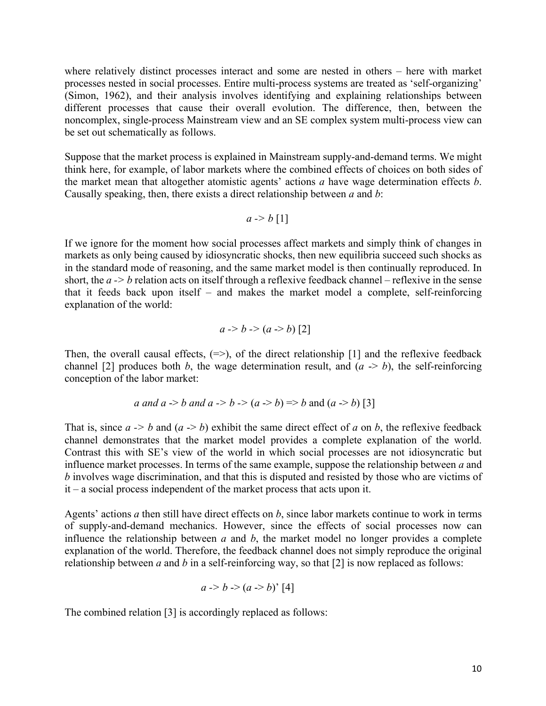where relatively distinct processes interact and some are nested in others – here with market processes nested in social processes. Entire multi-process systems are treated as 'self-organizing' (Simon, 1962), and their analysis involves identifying and explaining relationships between different processes that cause their overall evolution. The difference, then, between the noncomplex, single-process Mainstream view and an SE complex system multi-process view can be set out schematically as follows.

Suppose that the market process is explained in Mainstream supply-and-demand terms. We might think here, for example, of labor markets where the combined effects of choices on both sides of the market mean that altogether atomistic agents' actions *a* have wage determination effects *b*. Causally speaking, then, there exists a direct relationship between *a* and *b*:

$$
a \rightarrow b \ [1]
$$

If we ignore for the moment how social processes affect markets and simply think of changes in markets as only being caused by idiosyncratic shocks, then new equilibria succeed such shocks as in the standard mode of reasoning, and the same market model is then continually reproduced. In short, the *a -> b* relation acts on itself through a reflexive feedback channel – reflexive in the sense that it feeds back upon itself – and makes the market model a complete, self-reinforcing explanation of the world:

$$
a \rightarrow b \rightarrow (a \rightarrow b)
$$
 [2]

Then, the overall causal effects,  $(\Rightarrow)$ , of the direct relationship [1] and the reflexive feedback channel [2] produces both *b*, the wage determination result, and  $(a \rightarrow b)$ , the self-reinforcing conception of the labor market:

*a* and *a* 
$$
\rightarrow
$$
 *b* and *a*  $\rightarrow$  *b*  $\rightarrow$  (*a*  $\rightarrow$  *b*)  $\Rightarrow$  *b* and (*a*  $\rightarrow$  *b*) [3]

That is, since  $a \rightarrow b$  and  $(a \rightarrow b)$  exhibit the same direct effect of *a* on *b*, the reflexive feedback channel demonstrates that the market model provides a complete explanation of the world. Contrast this with SE's view of the world in which social processes are not idiosyncratic but influence market processes. In terms of the same example, suppose the relationship between *a* and *b* involves wage discrimination, and that this is disputed and resisted by those who are victims of it – a social process independent of the market process that acts upon it.

Agents' actions *a* then still have direct effects on *b*, since labor markets continue to work in terms of supply-and-demand mechanics. However, since the effects of social processes now can influence the relationship between *a* and *b*, the market model no longer provides a complete explanation of the world. Therefore, the feedback channel does not simply reproduce the original relationship between *a* and *b* in a self-reinforcing way, so that [2] is now replaced as follows:

$$
a \rightarrow b \rightarrow (a \rightarrow b)
$$
' [4]

The combined relation [3] is accordingly replaced as follows: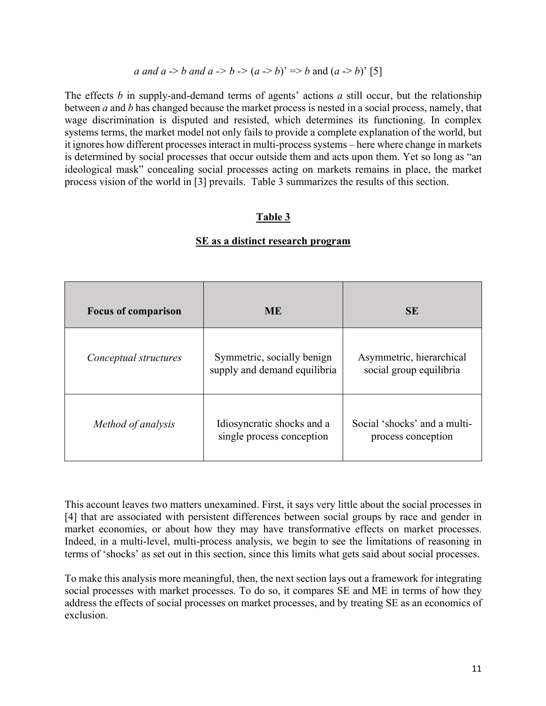#### *a and a -> b and a -> b -> (a -> b)'* => *b* and (*a -> b*)' [5]

The effects *b* in supply-and-demand terms of agents' actions *a* still occur, but the relationship between *a* and *b* has changed because the market process is nested in a social process, namely, that wage discrimination is disputed and resisted, which determines its functioning. In complex systems terms, the market model not only fails to provide a complete explanation of the world, but it ignores how different processes interact in multi-process systems – here where change in markets is determined by social processes that occur outside them and acts upon them. Yet so long as "an ideological mask" concealing social processes acting on markets remains in place, the market process vision of the world in [3] prevails. Table 3 summarizes the results of this section.

#### **Table 3**

| <b>Focus of comparison</b> | <b>ME</b>                                                  | <b>SE</b>                                           |
|----------------------------|------------------------------------------------------------|-----------------------------------------------------|
| Conceptual structures      | Symmetric, socially benign<br>supply and demand equilibria | Asymmetric, hierarchical<br>social group equilibria |
| Method of analysis         | Idiosyncratic shocks and a<br>single process conception    | Social 'shocks' and a multi-<br>process conception  |

#### **SE as a distinct research program**

This account leaves two matters unexamined. First, it says very little about the social processes in [4] that are associated with persistent differences between social groups by race and gender in market economies, or about how they may have transformative effects on market processes. Indeed, in a multi-level, multi-process analysis, we begin to see the limitations of reasoning in terms of 'shocks' as set out in this section, since this limits what gets said about social processes.

To make this analysis more meaningful, then, the next section lays out a framework for integrating social processes with market processes. To do so, it compares SE and ME in terms of how they address the effects of social processes on market processes, and by treating SE as an economics of exclusion.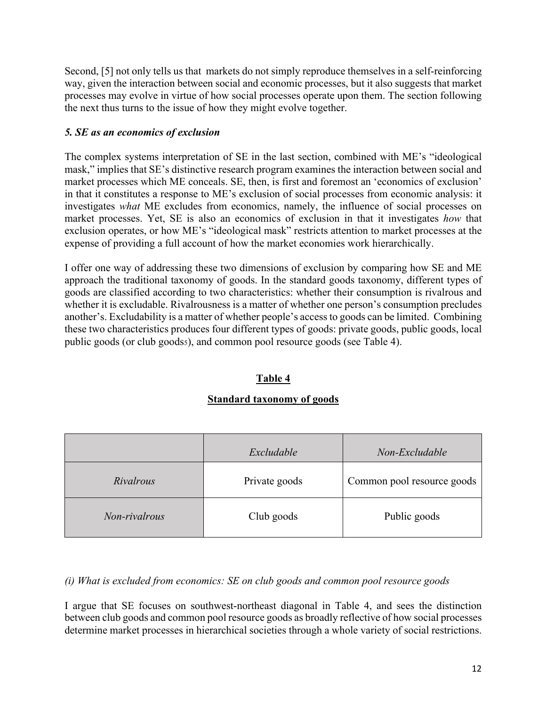Second, [5] not only tells us that markets do not simply reproduce themselves in a self-reinforcing way, given the interaction between social and economic processes, but it also suggests that market processes may evolve in virtue of how social processes operate upon them. The section following the next thus turns to the issue of how they might evolve together.

#### *5. SE as an economics of exclusion*

The complex systems interpretation of SE in the last section, combined with ME's "ideological mask," implies that SE's distinctive research program examines the interaction between social and market processes which ME conceals. SE, then, is first and foremost an 'economics of exclusion' in that it constitutes a response to ME's exclusion of social processes from economic analysis: it investigates *what* ME excludes from economics, namely, the influence of social processes on market processes. Yet, SE is also an economics of exclusion in that it investigates *how* that exclusion operates, or how ME's "ideological mask" restricts attention to market processes at the expense of providing a full account of how the market economies work hierarchically.

I offer one way of addressing these two dimensions of exclusion by comparing how SE and ME approach the traditional taxonomy of goods. In the standard goods taxonomy, different types of goods are classified according to two characteristics: whether their consumption is rivalrous and whether it is excludable. Rivalrousness is a matter of whether one person's consumption precludes another's. Excludability is a matter of whether people's access to goods can be limited. Combining these two characteristics produces four different types of goods: private goods, public goods, local public goods (or club goodss), and common pool resource goods (see Table 4).

#### **Table 4**

#### **Standard taxonomy of goods**

|               | Excludable    | Non-Excludable             |
|---------------|---------------|----------------------------|
| Rivalrous     | Private goods | Common pool resource goods |
| Non-rivalrous | Club goods    | Public goods               |

#### *(i) What is excluded from economics: SE on club goods and common pool resource goods*

I argue that SE focuses on southwest-northeast diagonal in Table 4, and sees the distinction between club goods and common pool resource goods as broadly reflective of how social processes determine market processes in hierarchical societies through a whole variety of social restrictions.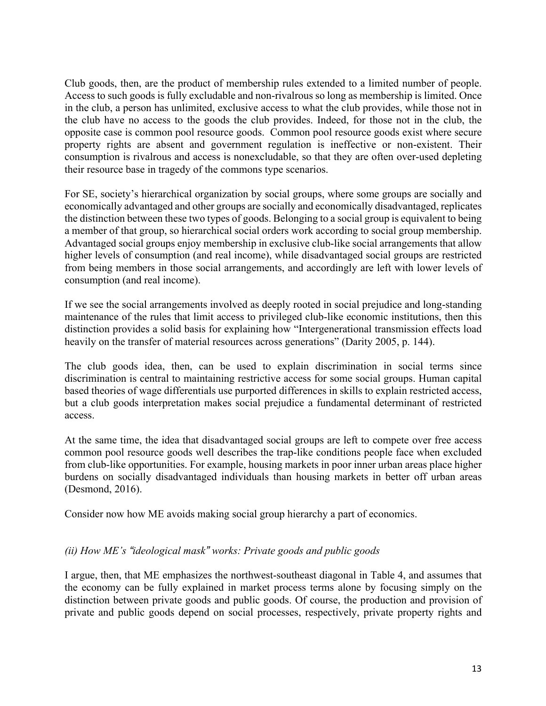Club goods, then, are the product of membership rules extended to a limited number of people. Access to such goods is fully excludable and non-rivalrous so long as membership is limited. Once in the club, a person has unlimited, exclusive access to what the club provides, while those not in the club have no access to the goods the club provides. Indeed, for those not in the club, the opposite case is common pool resource goods. Common pool resource goods exist where secure property rights are absent and government regulation is ineffective or non-existent. Their consumption is rivalrous and access is nonexcludable, so that they are often over-used depleting their resource base in tragedy of the commons type scenarios.

For SE, society's hierarchical organization by social groups, where some groups are socially and economically advantaged and other groups are socially and economically disadvantaged, replicates the distinction between these two types of goods. Belonging to a social group is equivalent to being a member of that group, so hierarchical social orders work according to social group membership. Advantaged social groups enjoy membership in exclusive club-like social arrangements that allow higher levels of consumption (and real income), while disadvantaged social groups are restricted from being members in those social arrangements, and accordingly are left with lower levels of consumption (and real income).

If we see the social arrangements involved as deeply rooted in social prejudice and long-standing maintenance of the rules that limit access to privileged club-like economic institutions, then this distinction provides a solid basis for explaining how "Intergenerational transmission effects load heavily on the transfer of material resources across generations" (Darity 2005, p. 144).

The club goods idea, then, can be used to explain discrimination in social terms since discrimination is central to maintaining restrictive access for some social groups. Human capital based theories of wage differentials use purported differences in skills to explain restricted access, but a club goods interpretation makes social prejudice a fundamental determinant of restricted access.

At the same time, the idea that disadvantaged social groups are left to compete over free access common pool resource goods well describes the trap-like conditions people face when excluded from club-like opportunities. For example, housing markets in poor inner urban areas place higher burdens on socially disadvantaged individuals than housing markets in better off urban areas (Desmond, 2016).

Consider now how ME avoids making social group hierarchy a part of economics.

#### *(ii) How ME's "ideological mask" works: Private goods and public goods*

I argue, then, that ME emphasizes the northwest-southeast diagonal in Table 4, and assumes that the economy can be fully explained in market process terms alone by focusing simply on the distinction between private goods and public goods. Of course, the production and provision of private and public goods depend on social processes, respectively, private property rights and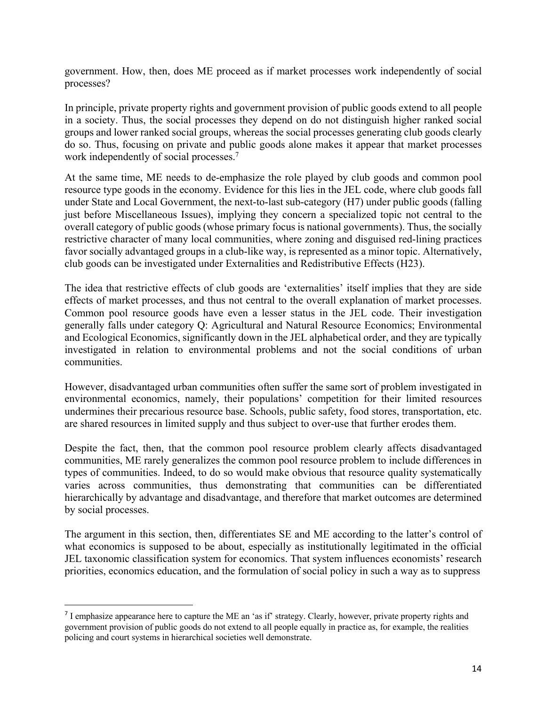government. How, then, does ME proceed as if market processes work independently of social processes?

In principle, private property rights and government provision of public goods extend to all people in a society. Thus, the social processes they depend on do not distinguish higher ranked social groups and lower ranked social groups, whereas the social processes generating club goods clearly do so. Thus, focusing on private and public goods alone makes it appear that market processes work independently of social processes.<sup>7</sup>

At the same time, ME needs to de-emphasize the role played by club goods and common pool resource type goods in the economy. Evidence for this lies in the JEL code, where club goods fall under State and Local Government, the next-to-last sub-category (H7) under public goods (falling just before Miscellaneous Issues), implying they concern a specialized topic not central to the overall category of public goods (whose primary focus is national governments). Thus, the socially restrictive character of many local communities, where zoning and disguised red-lining practices favor socially advantaged groups in a club-like way, is represented as a minor topic. Alternatively, club goods can be investigated under Externalities and Redistributive Effects (H23).

The idea that restrictive effects of club goods are 'externalities' itself implies that they are side effects of market processes, and thus not central to the overall explanation of market processes. Common pool resource goods have even a lesser status in the JEL code. Their investigation generally falls under category Q: Agricultural and Natural Resource Economics; Environmental and Ecological Economics, significantly down in the JEL alphabetical order, and they are typically investigated in relation to environmental problems and not the social conditions of urban communities.

However, disadvantaged urban communities often suffer the same sort of problem investigated in environmental economics, namely, their populations' competition for their limited resources undermines their precarious resource base. Schools, public safety, food stores, transportation, etc. are shared resources in limited supply and thus subject to over-use that further erodes them.

Despite the fact, then, that the common pool resource problem clearly affects disadvantaged communities, ME rarely generalizes the common pool resource problem to include differences in types of communities. Indeed, to do so would make obvious that resource quality systematically varies across communities, thus demonstrating that communities can be differentiated hierarchically by advantage and disadvantage, and therefore that market outcomes are determined by social processes.

The argument in this section, then, differentiates SE and ME according to the latter's control of what economics is supposed to be about, especially as institutionally legitimated in the official JEL taxonomic classification system for economics. That system influences economists' research priorities, economics education, and the formulation of social policy in such a way as to suppress

<sup>&</sup>lt;sup>7</sup> I emphasize appearance here to capture the ME an 'as if' strategy. Clearly, however, private property rights and government provision of public goods do not extend to all people equally in practice as, for example, the realities policing and court systems in hierarchical societies well demonstrate.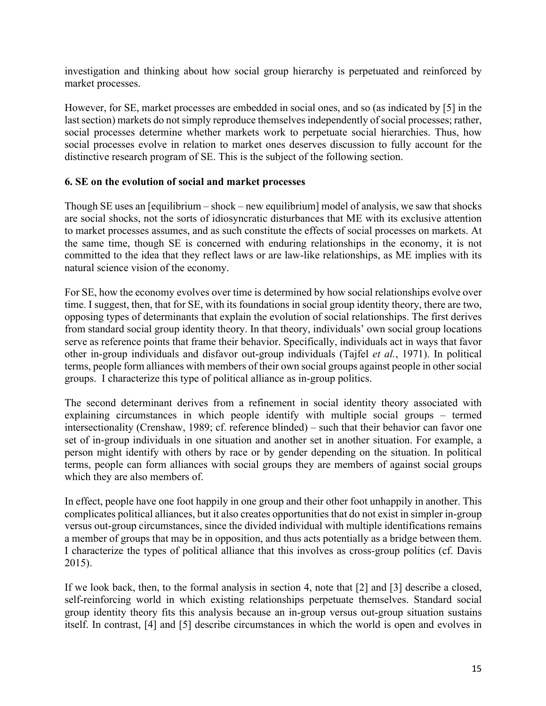investigation and thinking about how social group hierarchy is perpetuated and reinforced by market processes.

However, for SE, market processes are embedded in social ones, and so (as indicated by [5] in the last section) markets do not simply reproduce themselves independently of social processes; rather, social processes determine whether markets work to perpetuate social hierarchies. Thus, how social processes evolve in relation to market ones deserves discussion to fully account for the distinctive research program of SE. This is the subject of the following section.

#### **6. SE on the evolution of social and market processes**

Though SE uses an [equilibrium – shock – new equilibrium] model of analysis, we saw that shocks are social shocks, not the sorts of idiosyncratic disturbances that ME with its exclusive attention to market processes assumes, and as such constitute the effects of social processes on markets. At the same time, though SE is concerned with enduring relationships in the economy, it is not committed to the idea that they reflect laws or are law-like relationships, as ME implies with its natural science vision of the economy.

For SE, how the economy evolves over time is determined by how social relationships evolve over time. I suggest, then, that for SE, with its foundations in social group identity theory, there are two, opposing types of determinants that explain the evolution of social relationships. The first derives from standard social group identity theory. In that theory, individuals' own social group locations serve as reference points that frame their behavior. Specifically, individuals act in ways that favor other in-group individuals and disfavor out-group individuals (Tajfel *et al.*, 1971). In political terms, people form alliances with members of their own social groups against people in other social groups. I characterize this type of political alliance as in-group politics.

The second determinant derives from a refinement in social identity theory associated with explaining circumstances in which people identify with multiple social groups – termed intersectionality (Crenshaw, 1989; cf. reference blinded) – such that their behavior can favor one set of in-group individuals in one situation and another set in another situation. For example, a person might identify with others by race or by gender depending on the situation. In political terms, people can form alliances with social groups they are members of against social groups which they are also members of.

In effect, people have one foot happily in one group and their other foot unhappily in another. This complicates political alliances, but it also creates opportunities that do not exist in simpler in-group versus out-group circumstances, since the divided individual with multiple identifications remains a member of groups that may be in opposition, and thus acts potentially as a bridge between them. I characterize the types of political alliance that this involves as cross-group politics (cf. Davis 2015).

If we look back, then, to the formal analysis in section 4, note that [2] and [3] describe a closed, self-reinforcing world in which existing relationships perpetuate themselves. Standard social group identity theory fits this analysis because an in-group versus out-group situation sustains itself. In contrast, [4] and [5] describe circumstances in which the world is open and evolves in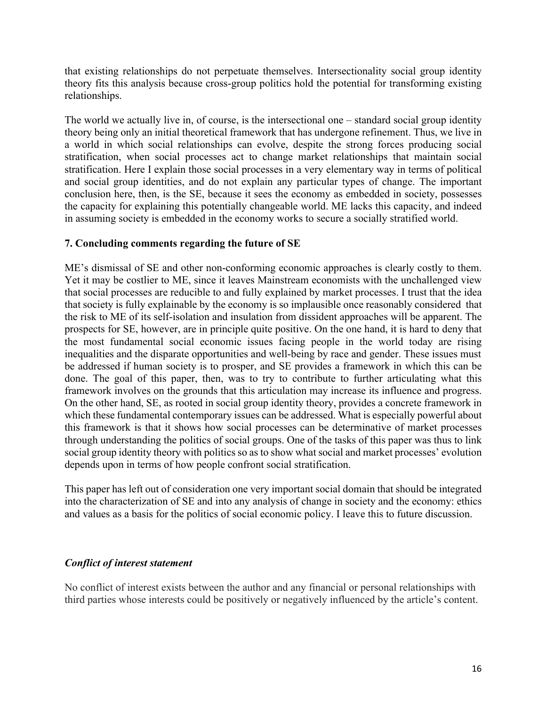that existing relationships do not perpetuate themselves. Intersectionality social group identity theory fits this analysis because cross-group politics hold the potential for transforming existing relationships.

The world we actually live in, of course, is the intersectional one – standard social group identity theory being only an initial theoretical framework that has undergone refinement. Thus, we live in a world in which social relationships can evolve, despite the strong forces producing social stratification, when social processes act to change market relationships that maintain social stratification. Here I explain those social processes in a very elementary way in terms of political and social group identities, and do not explain any particular types of change. The important conclusion here, then, is the SE, because it sees the economy as embedded in society, possesses the capacity for explaining this potentially changeable world. ME lacks this capacity, and indeed in assuming society is embedded in the economy works to secure a socially stratified world.

#### **7. Concluding comments regarding the future of SE**

ME's dismissal of SE and other non-conforming economic approaches is clearly costly to them. Yet it may be costlier to ME, since it leaves Mainstream economists with the unchallenged view that social processes are reducible to and fully explained by market processes. I trust that the idea that society is fully explainable by the economy is so implausible once reasonably considered that the risk to ME of its self-isolation and insulation from dissident approaches will be apparent. The prospects for SE, however, are in principle quite positive. On the one hand, it is hard to deny that the most fundamental social economic issues facing people in the world today are rising inequalities and the disparate opportunities and well-being by race and gender. These issues must be addressed if human society is to prosper, and SE provides a framework in which this can be done. The goal of this paper, then, was to try to contribute to further articulating what this framework involves on the grounds that this articulation may increase its influence and progress. On the other hand, SE, as rooted in social group identity theory, provides a concrete framework in which these fundamental contemporary issues can be addressed. What is especially powerful about this framework is that it shows how social processes can be determinative of market processes through understanding the politics of social groups. One of the tasks of this paper was thus to link social group identity theory with politics so as to show what social and market processes' evolution depends upon in terms of how people confront social stratification.

This paper has left out of consideration one very important social domain that should be integrated into the characterization of SE and into any analysis of change in society and the economy: ethics and values as a basis for the politics of social economic policy. I leave this to future discussion.

#### *Conflict of interest statement*

No conflict of interest exists between the author and any financial or personal relationships with third parties whose interests could be positively or negatively influenced by the article's content.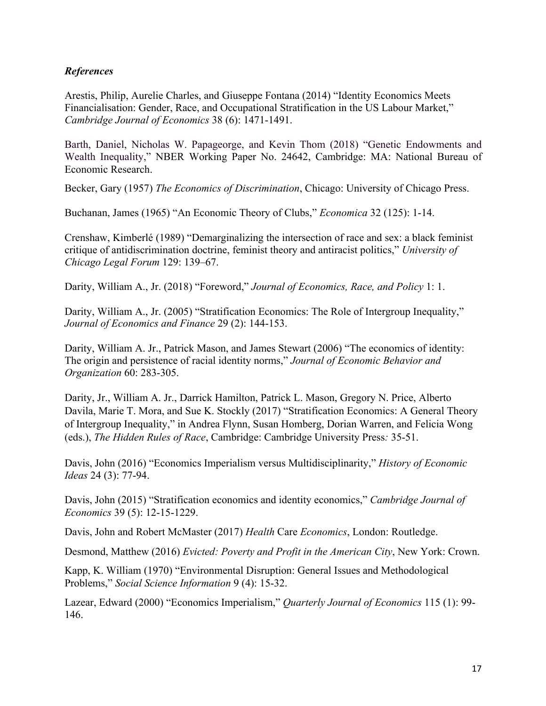#### *References*

Arestis, Philip, Aurelie Charles, and Giuseppe Fontana (2014) "Identity Economics Meets Financialisation: Gender, Race, and Occupational Stratification in the US Labour Market," *Cambridge Journal of Economics* 38 (6): 1471-1491.

Barth, Daniel, Nicholas W. Papageorge, and Kevin Thom (2018) "Genetic Endowments and Wealth Inequality," NBER Working Paper No. 24642, Cambridge: MA: National Bureau of Economic Research.

Becker, Gary (1957) *The Economics of Discrimination*, Chicago: University of Chicago Press.

Buchanan, James (1965) "An Economic Theory of Clubs," *Economica* 32 (125): 1-14.

Crenshaw, Kimberlé (1989) "Demarginalizing the intersection of race and sex: a black feminist critique of antidiscrimination doctrine, feminist theory and antiracist politics," *University of Chicago Legal Forum* 129: 139–67.

Darity, William A., Jr. (2018) "Foreword," *Journal of Economics, Race, and Policy* 1: 1.

Darity, William A., Jr. (2005) "Stratification Economics: The Role of Intergroup Inequality," *Journal of Economics and Finance* 29 (2): 144-153.

Darity, William A. Jr., Patrick Mason, and James Stewart (2006) "The economics of identity: The origin and persistence of racial identity norms," *Journal of Economic Behavior and Organization* 60: 283-305.

Darity, Jr., William A. Jr., Darrick Hamilton, Patrick L. Mason, Gregory N. Price, Alberto Davila, Marie T. Mora, and Sue K. Stockly (2017) "Stratification Economics: A General Theory of Intergroup Inequality," in Andrea Flynn, Susan Homberg, Dorian Warren, and Felicia Wong (eds.), *The Hidden Rules of Race*, Cambridge: Cambridge University Press*:* 35-51.

Davis, John (2016) "Economics Imperialism versus Multidisciplinarity," *History of Economic Ideas* 24 (3): 77-94.

Davis, John (2015) "Stratification economics and identity economics," *Cambridge Journal of Economics* 39 (5): 12-15-1229.

Davis, John and Robert McMaster (2017) *Health* Care *Economics*, London: Routledge.

Desmond, Matthew (2016) *Evicted: Poverty and Profit in the American City*, New York: Crown.

Kapp, K. William (1970) "Environmental Disruption: General Issues and Methodological Problems," *Social Science Information* 9 (4): 15-32.

Lazear, Edward (2000) "Economics Imperialism," *Quarterly Journal of Economics* 115 (1): 99- 146.